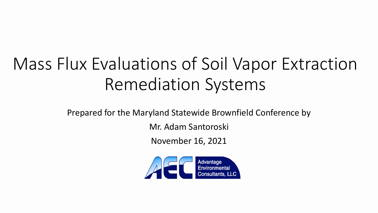# Mass Flux Evaluations of Soil Vapor Extraction Remediation Systems

Prepared for the Maryland Statewide Brownfield Conference by

Mr. Adam Santoroski

November 16, 2021

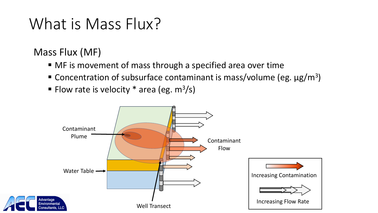### What is Mass Flux?

### Mass Flux (MF)

- MF is movement of mass through a specified area over time
- Concentration of subsurface contaminant is mass/volume (eg.  $\mu$ g/m<sup>3</sup>)
- Flow rate is velocity  $*$  area (eg. m<sup>3</sup>/s)

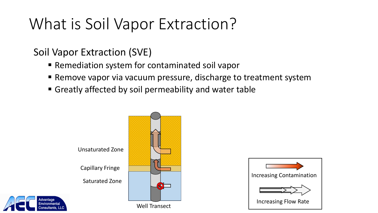### What is Soil Vapor Extraction?

### Soil Vapor Extraction (SVE)

lvantage

- Remediation system for contaminated soil vapor
- Remove vapor via vacuum pressure, discharge to treatment system
- Greatly affected by soil permeability and water table



Well Transect

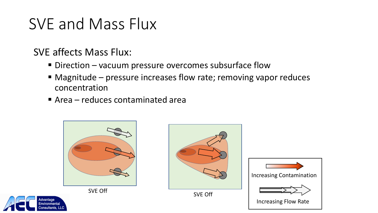### SVE and Mass Flux

### SVE affects Mass Flux:

- Direction vacuum pressure overcomes subsurface flow
- Magnitude pressure increases flow rate; removing vapor reduces concentration
- Area reduces contaminated area









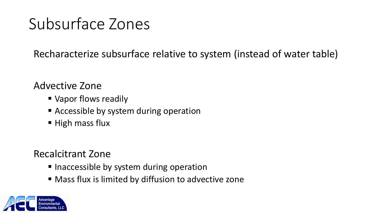### Subsurface Zones

Recharacterize subsurface relative to system (instead of water table)

#### Advective Zone

- Vapor flows readily
- **Exercise 2 Accessible by system during operation**
- $\blacksquare$  High mass flux

#### Recalcitrant Zone

- Inaccessible by system during operation
- Mass flux is limited by diffusion to advective zone

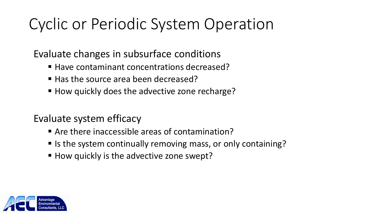## Cyclic or Periodic System Operation

Evaluate changes in subsurface conditions

- Have contaminant concentrations decreased?
- Has the source area been decreased?
- How quickly does the advective zone recharge?

Evaluate system efficacy

- Are there inaccessible areas of contamination?
- Is the system continually removing mass, or only containing?
- How quickly is the advective zone swept?

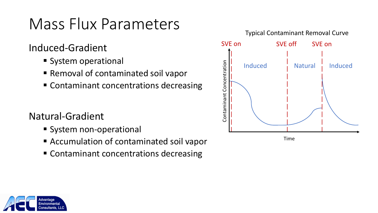Induced-Gradient

- **System operational**
- Removal of contaminated soil vapor
- Contaminant concentrations decreasing

### Natural-Gradient

- **System non-operational**
- Accumulation of contaminated soil vapor
- Contaminant concentrations decreasing



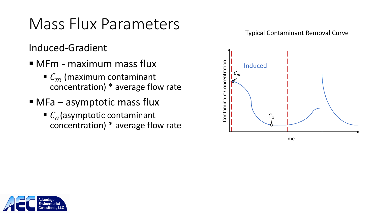Induced-Gradient

- MFm maximum mass flux
	- $\bullet$   $C_m$  (maximum contaminant concentration) \* average flow rate
- $\blacksquare$  MFa asymptotic mass flux
	- $\blacksquare$   $C_a$  (asymptotic contaminant concentration) \* average flow rate





Time

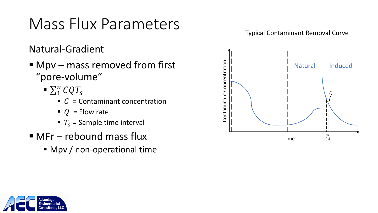Natural-Gradient

- Mpv mass removed from first "pore-volume"
	- $\sum_1^n$   $CQT_s$ 
		- $\blacksquare$   $\ulcorner$   $\subset$  = Contaminant concentration
		- $Q =$ Flow rate
		- $T_s$  = Sample time interval
- $MFr$  rebound mass flux
	- Mpv / non-operational time



Typical Contaminant Removal Curve

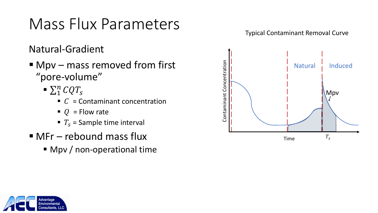Natural-Gradient

- Mpv mass removed from first "pore-volume"
	- $\sum_1^n$   $CQT_s$ 
		- $\blacksquare$   $\subset$  = Contaminant concentration
		- $Q =$ Flow rate
		- $T_s$  = Sample time interval
- $MFr$  rebound mass flux
	- Mpv / non-operational time



Typical Contaminant Removal Curve

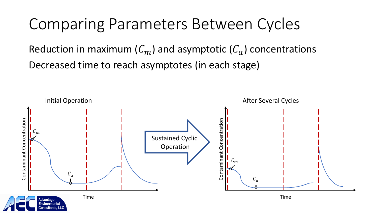### Comparing Parameters Between Cycles

Reduction in maximum  $(C_m)$  and asymptotic  $(C_a)$  concentrations Decreased time to reach asymptotes (in each stage)

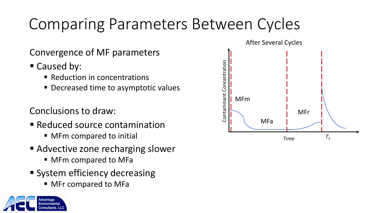# Comparing Parameters Between Cycles

Convergence of MF parameters

■ Caused by:

dvantage

- Reduction in concentrations
- **Decreased time to asymptotic values**

#### Conclusions to draw:

- **Reduced source contamination** 
	- MFm compared to initial
- Advective zone recharging slower
	- **MFm compared to MFa**
- **System efficiency decreasing** 
	- MFr compared to MFa



Time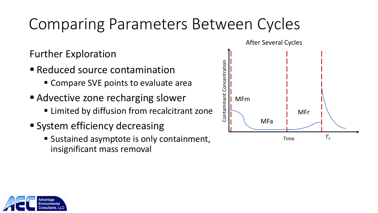## Comparing Parameters Between Cycles

### Further Exploration

- Reduced source contamination
	- Compare SVE points to evaluate area
- Advective zone recharging slower
	- **Example 2** Limited by diffusion from recalcitrant zone
- **System efficiency decreasing** 
	- Sustained asymptote is only containment, insignificant mass removal